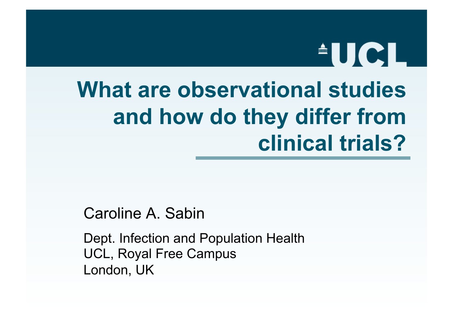# **AUCL**

# **What are observational studies and how do they differ from clinical trials?**

Caroline A. Sabin

Dept. Infection and Population Health UCL, Royal Free Campus London, UK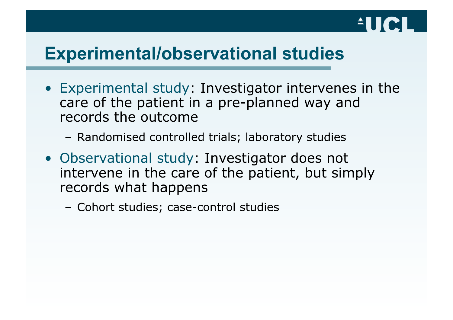

#### **Experimental/observational studies**

- Experimental study: Investigator intervenes in the care of the patient in a pre-planned way and records the outcome
	- Randomised controlled trials; laboratory studies
- Observational study: Investigator does not intervene in the care of the patient, but simply records what happens
	- Cohort studies; case-control studies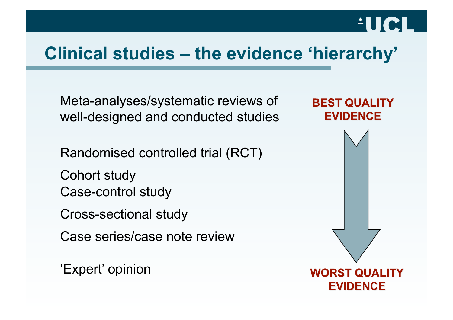#### **Clinical studies – the evidence 'hierarchy'**

Meta-analyses/systematic reviews of well-designed and conducted studies

Randomised controlled trial (RCT)

Cohort study Case-control study

Cross-sectional study

Case series/case note review

'Expert' opinion



**AUCL**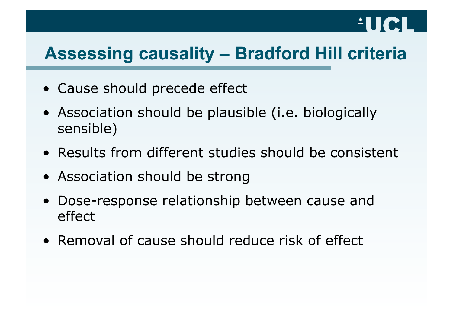# $\triangle$ lici

### **Assessing causality – Bradford Hill criteria**

- Cause should precede effect
- Association should be plausible (i.e. biologically sensible)
- Results from different studies should be consistent
- Association should be strong
- Dose-response relationship between cause and effect
- Removal of cause should reduce risk of effect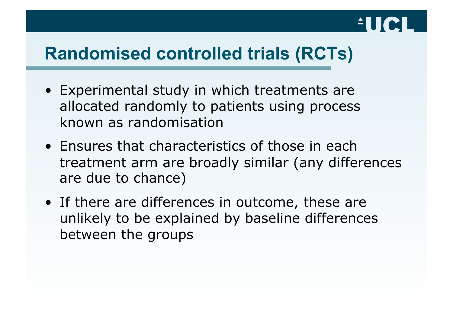# $^{\circ}$ UC

#### **Randomised controlled trials (RCTs)**

- Experimental study in which treatments are allocated randomly to patients using process known as randomisation
- Ensures that characteristics of those in each treatment arm are broadly similar (any differences are due to chance)
- If there are differences in outcome, these are unlikely to be explained by baseline differences between the groups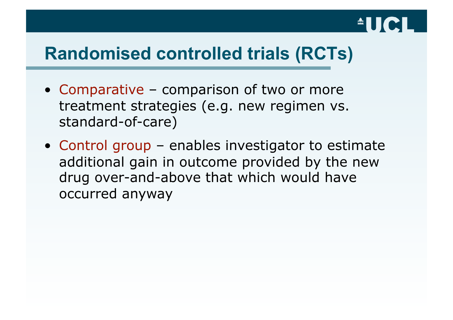# $\triangle$   $||$   $||$   $($

#### **Randomised controlled trials (RCTs)**

- Comparative comparison of two or more treatment strategies (e.g. new regimen vs. standard-of-care)
- Control group enables investigator to estimate additional gain in outcome provided by the new drug over-and-above that which would have occurred anyway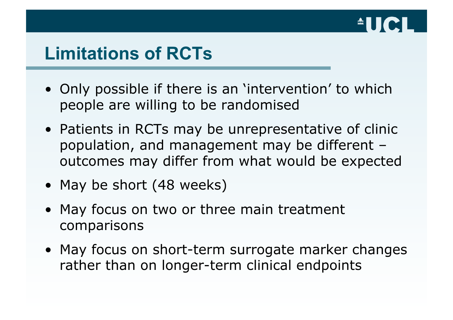

#### **Limitations of RCTs**

- Only possible if there is an 'intervention' to which people are willing to be randomised
- Patients in RCTs may be unrepresentative of clinic population, and management may be different – outcomes may differ from what would be expected
- May be short (48 weeks)
- May focus on two or three main treatment comparisons
- May focus on short-term surrogate marker changes rather than on longer-term clinical endpoints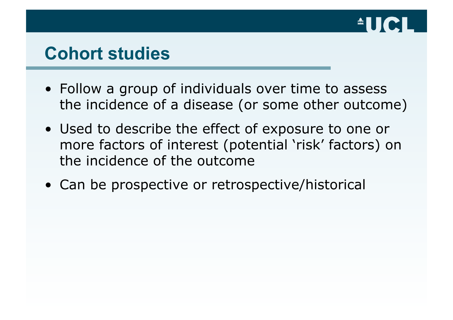

#### **Cohort studies**

- Follow a group of individuals over time to assess the incidence of a disease (or some other outcome)
- Used to describe the effect of exposure to one or more factors of interest (potential 'risk' factors) on the incidence of the outcome
- Can be prospective or retrospective/historical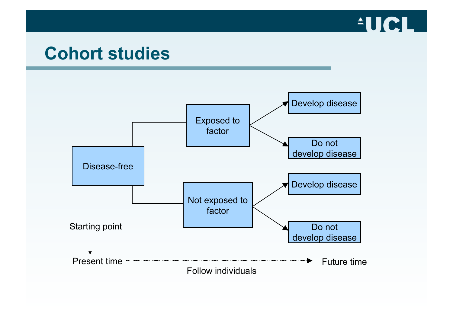

#### **Cohort studies**

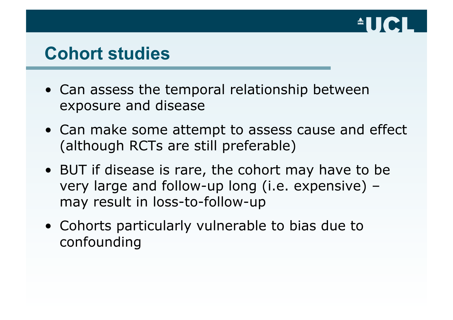

#### **Cohort studies**

- Can assess the temporal relationship between exposure and disease
- Can make some attempt to assess cause and effect (although RCTs are still preferable)
- BUT if disease is rare, the cohort may have to be very large and follow-up long (i.e. expensive) – may result in loss-to-follow-up
- Cohorts particularly vulnerable to bias due to confounding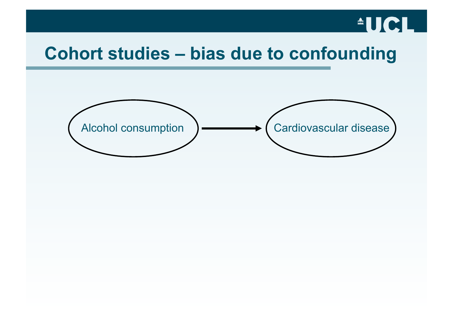# $^{\circ}$ UCL $^{\circ}$

#### **Cohort studies – bias due to confounding**

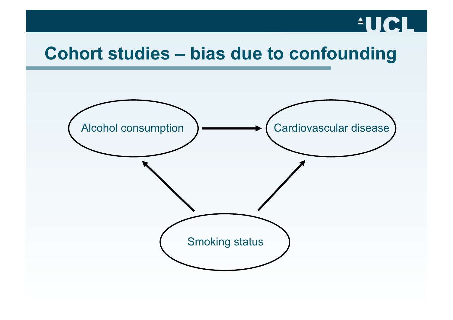# $^{\circ}$ UCL $^{\circ}$

#### **Cohort studies – bias due to confounding**

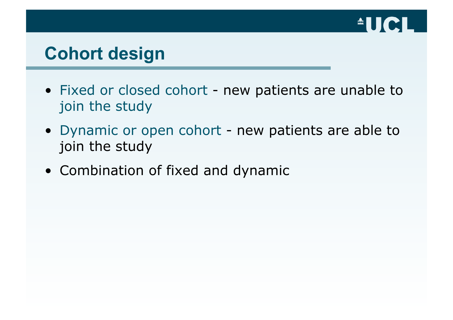

#### **Cohort design**

- Fixed or closed cohort new patients are unable to join the study
- Dynamic or open cohort new patients are able to join the study
- Combination of fixed and dynamic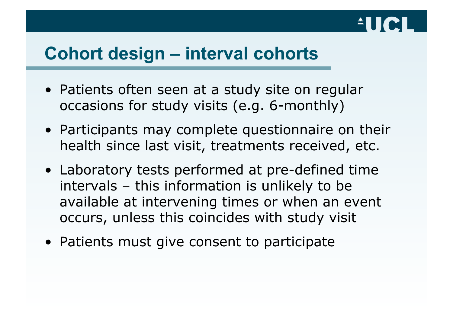

#### **Cohort design – interval cohorts**

- Patients often seen at a study site on regular occasions for study visits (e.g. 6-monthly)
- Participants may complete questionnaire on their health since last visit, treatments received, etc.
- Laboratory tests performed at pre-defined time intervals – this information is unlikely to be available at intervening times or when an event occurs, unless this coincides with study visit
- Patients must give consent to participate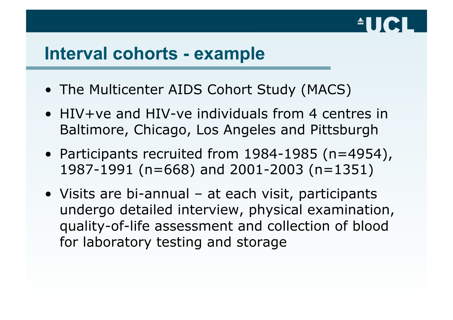# $\triangle$ lici

#### **Interval cohorts - example**

- The Multicenter AIDS Cohort Study (MACS)
- HIV+ve and HIV-ve individuals from 4 centres in Baltimore, Chicago, Los Angeles and Pittsburgh
- Participants recruited from 1984-1985 (n=4954), 1987-1991 (n=668) and 2001-2003 (n=1351)
- Visits are bi-annual at each visit, participants undergo detailed interview, physical examination, quality-of-life assessment and collection of blood for laboratory testing and storage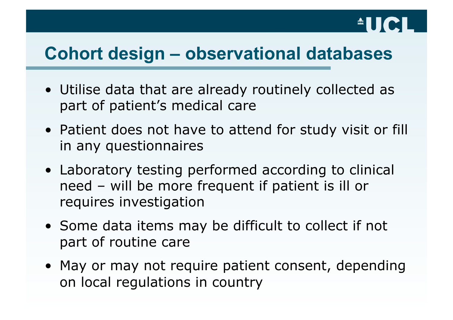# **AUCL**

#### **Cohort design – observational databases**

- Utilise data that are already routinely collected as part of patient's medical care
- Patient does not have to attend for study visit or fill in any questionnaires
- Laboratory testing performed according to clinical need – will be more frequent if patient is ill or requires investigation
- Some data items may be difficult to collect if not part of routine care
- May or may not require patient consent, depending on local regulations in country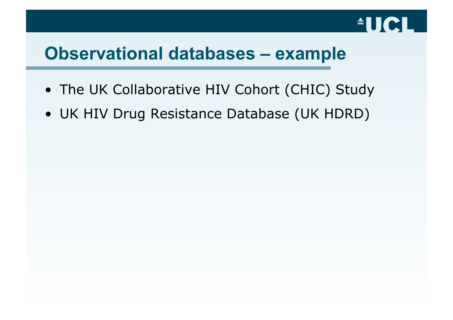

#### **Observational databases – example**

- The UK Collaborative HIV Cohort (CHIC) Study
- UK HIV Drug Resistance Database (UK HDRD)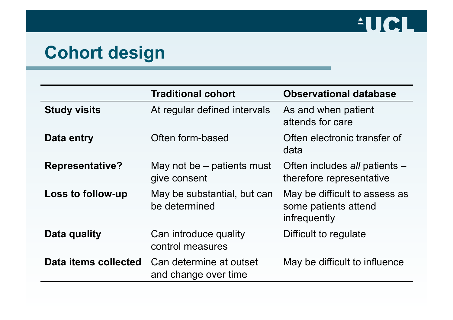

#### **Cohort design**

|                        | <b>Traditional cohort</b>                       | <b>Observational database</b>                                         |
|------------------------|-------------------------------------------------|-----------------------------------------------------------------------|
| <b>Study visits</b>    | At regular defined intervals                    | As and when patient<br>attends for care                               |
| Data entry             | Often form-based                                | Often electronic transfer of<br>data                                  |
| <b>Representative?</b> | May not be – patients must<br>give consent      | Often includes all patients -<br>therefore representative             |
| Loss to follow-up      | May be substantial, but can<br>be determined    | May be difficult to assess as<br>some patients attend<br>infrequently |
| Data quality           | Can introduce quality<br>control measures       | Difficult to regulate                                                 |
| Data items collected   | Can determine at outset<br>and change over time | May be difficult to influence                                         |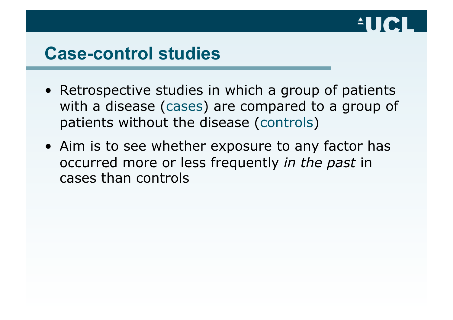

#### **Case-control studies**

- Retrospective studies in which a group of patients with a disease (cases) are compared to a group of patients without the disease (controls)
- Aim is to see whether exposure to any factor has occurred more or less frequently *in the past* in cases than controls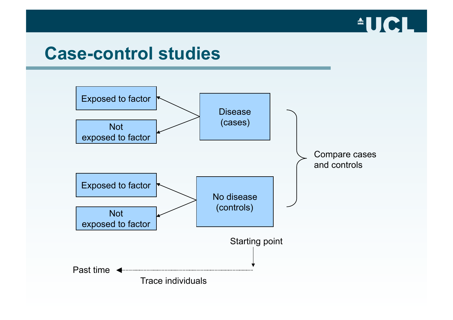

#### **Case-control studies**

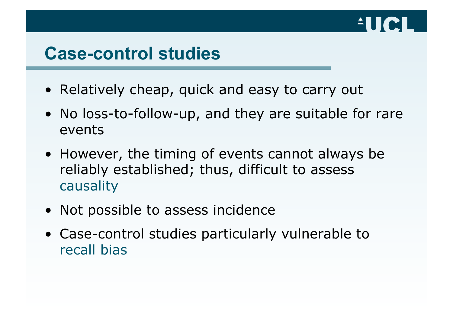

#### **Case-control studies**

- Relatively cheap, quick and easy to carry out
- No loss-to-follow-up, and they are suitable for rare events
- However, the timing of events cannot always be reliably established; thus, difficult to assess causality
- Not possible to assess incidence
- Case-control studies particularly vulnerable to recall bias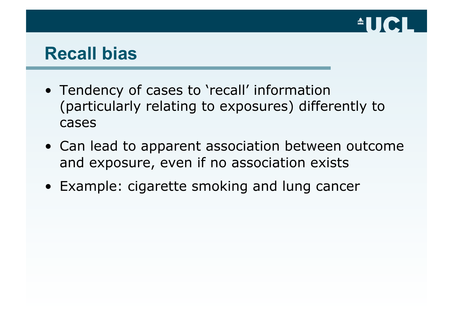

#### **Recall bias**

- Tendency of cases to 'recall' information (particularly relating to exposures) differently to cases
- Can lead to apparent association between outcome and exposure, even if no association exists
- Example: cigarette smoking and lung cancer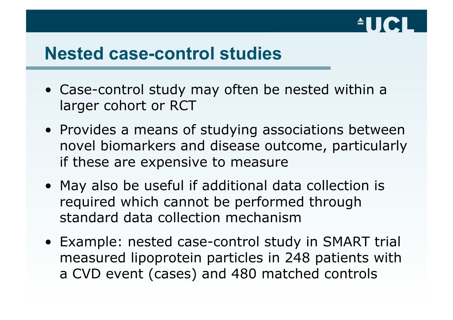

#### **Nested case-control studies**

- Case-control study may often be nested within a larger cohort or RCT
- Provides a means of studying associations between novel biomarkers and disease outcome, particularly if these are expensive to measure
- May also be useful if additional data collection is required which cannot be performed through standard data collection mechanism
- Example: nested case-control study in SMART trial measured lipoprotein particles in 248 patients with a CVD event (cases) and 480 matched controls